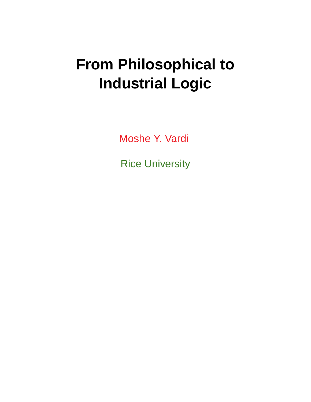# **From Philosophical to Industrial Logic**

Moshe Y. Vardi

Rice University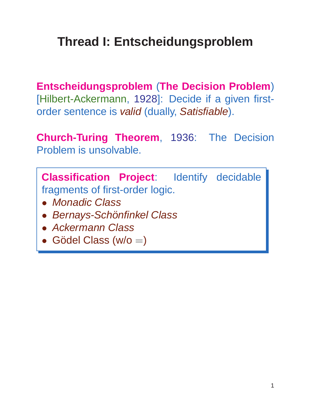### **Thread I: Entscheidungsproblem**

**Entscheidungsproblem** (**The Decision Problem**) [Hilbert-Ackermann, 1928]: Decide if a given firstorder sentence is valid (dually, Satisfiable).

**Church-Turing Theorem**, 1936: The Decision Problem is unsolvable.

**Classification Project**: Identify decidable fragments of first-order logic.

- Monadic Class
- Bernays-Schönfinkel Class
- Ackermann Class
- Gödel Class (w/o  $=$ )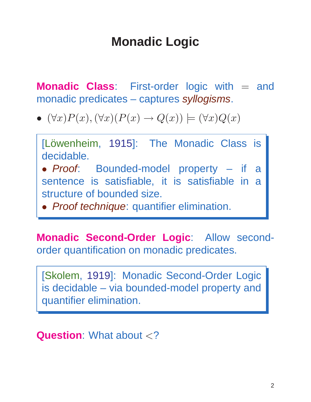### **Monadic Logic**

**Monadic Class:** First-order logic with = and monadic predicates – captures syllogisms.

•  $(\forall x)P(x),(\forall x)(P(x) \rightarrow Q(x)) \models (\forall x)Q(x)$ 

[Löwenheim, 1915]: The Monadic Class is decidable.

• Proof: Bounded-model property – if a sentence is satisfiable, it is satisfiable in a structure of bounded size.

• Proof technique: quantifier elimination.

**Monadic Second-Order Logic**: Allow secondorder quantification on monadic predicates.

[Skolem, 1919]: Monadic Second-Order Logic is decidable – via bounded-model property and quantifier elimination.

**Question:** What about <?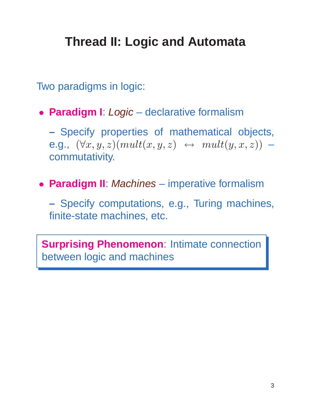### **Thread II: Logic and Automata**

Two paradigms in logic:

• **Paradigm I**: Logic – declarative formalism

**–** Specify properties of mathematical objects, e.g.,  $(\forall x, y, z)(mult(x, y, z) \leftrightarrow mult(y, x, z))$  – commutativity.

• **Paradigm II**: Machines – imperative formalism

**–** Specify computations, e.g., Turing machines, finite-state machines, etc.

**Surprising Phenomenon**: Intimate connection between logic and machines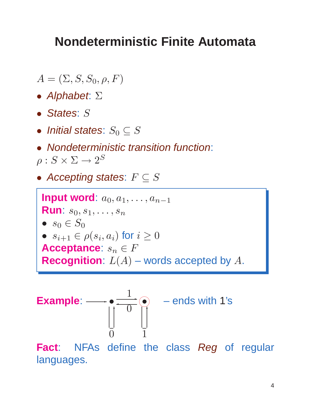#### **Nondeterministic Finite Automata**

- $A = (\Sigma, S, S_0, \rho, F)$
- Alphabet: Σ
- States: S
- Initial states:  $S_0 \subseteq S$
- Nondeterministic transition function:  $\rho: S \times \Sigma \rightarrow 2^S$
- Accepting states:  $F \subseteq S$

**Input word**:  $a_0, a_1, \ldots, a_{n-1}$ **Run**:  $s_0, s_1, \ldots, s_n$ •  $s_0 \in S_0$  $\bullet \ \ s_{i+1} \in \rho(s_i,a_i)$  for  $i \geq 0$ **Acceptance:**  $s_n \in F$ **Recognition**:  $L(A)$  – words accepted by  $A$ .

**Example:** 
$$
\longrightarrow
$$
  $\begin{array}{ccc}\n & \bullet & \overline{1} \\
 \hline\n0 & 0 & 1\n \end{array}$   $\begin{array}{ccc}\n & - \text{ends with 1's} \\
 & \downarrow & \downarrow \\
 & 1\n \end{array}$ 

**Fact**: NFAs define the class Reg of regular languages.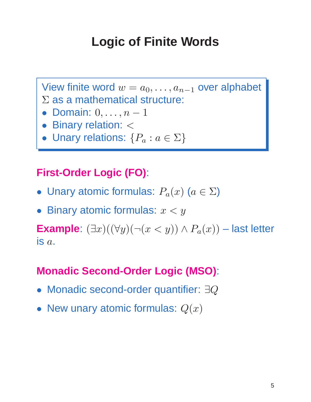### **Logic of Finite Words**

View finite word  $w = a_0, \ldots, a_{n-1}$  over alphabet  $\Sigma$  as a mathematical structure:

- Domain:  $0, \ldots, n-1$
- Binary relation: <
- Unary relations:  $\{P_a : a \in \Sigma\}$

#### **First-Order Logic (FO)**:

- Unary atomic formulas:  $P_a(x)$   $(a \in \Sigma)$
- Binary atomic formulas:  $x < y$

**Example**:  $(\exists x)((\forall y)(\neg(x < y)) \land P_a(x))$  – last letter is  $a$ .

#### **Monadic Second-Order Logic (MSO)**:

- Monadic second-order quantifier: ∃Q
- New unary atomic formulas:  $Q(x)$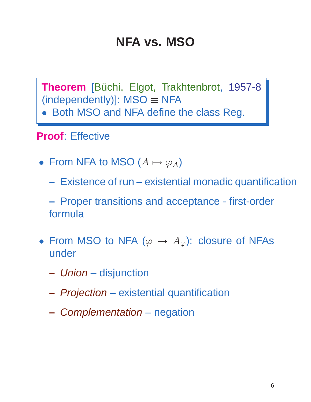#### **NFA vs. MSO**

Theorem [Büchi, Elgot, Trakhtenbrot, 1957-8 (independently)]:  $MSO \equiv NFA$ 

• Both MSO and NFA define the class Reg.

#### **Proof**: Effective

- From NFA to MSO  $(A \mapsto \varphi_A)$ 
	- **–** Existence of run existential monadic quantification

**–** Proper transitions and acceptance - first-order formula

- From MSO to NFA ( $\varphi \mapsto A_{\varphi}$ ): closure of NFAs under
	- **–** Union disjunction
	- **–** Projection existential quantification
	- **–** Complementation negation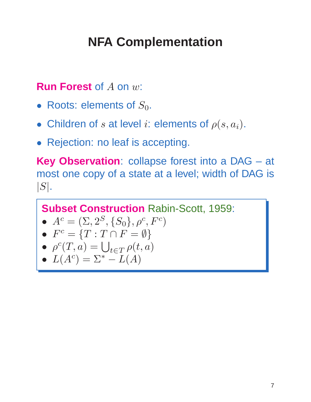## **NFA Complementation**

#### **Run Forest** of A on w:

- Roots: elements of  $S_0$ .
- Children of s at level i: elements of  $\rho(s, a_i)$ .
- Rejection: no leaf is accepting.

**Key Observation**: collapse forest into a DAG – at most one copy of a state at a level; width of DAG is  $|S|$ .

```
Subset Construction Rabin-Scott, 1959:
```
• 
$$
A^c = (\Sigma, 2^S, \{S_0\}, \rho^c, F^c)
$$

• 
$$
F^c = \{T : T \cap F = \emptyset\}
$$

$$
\bullet \ \ \rho^c(T,a) = \bigcup_{t \in T} \rho(t,a)
$$

$$
\bullet \ \ L(A^c) = \Sigma^* - L(A)
$$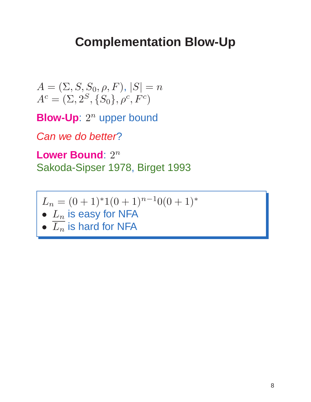#### **Complementation Blow-Up**

$$
A = (\Sigma, S, S_0, \rho, F), |S| = n
$$
  

$$
A^{c} = (\Sigma, 2^{S}, \{S_0\}, \rho^{c}, F^{c})
$$

**Blow-Up**:  $2^n$  upper bound

Can we do better?

Lower Bound: 2<sup>n</sup> Sakoda-Sipser 1978, Birget 1993

$$
L_n = (0+1)^* 1(0+1)^{n-1} 0(0+1)^*
$$

- $L_n$  is easy for NFA
- $\overline{L_n}$  is hard for NFA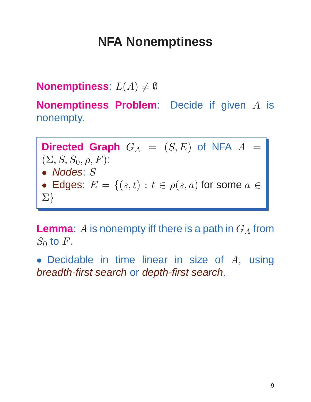### **NFA Nonemptiness**

#### **Nonemptiness**:  $L(A) \neq \emptyset$

**Nonemptiness Problem**: Decide if given A is nonempty.

**Directed Graph**  $G_A = (S, E)$  of NFA  $A =$  $(\Sigma, S, S_0, \rho, F)$ : • Nodes: S • Edges:  $E = \{(s,t) : t \in \rho(s,a) \text{ for some } a \in \mathbb{R}\}$ Σ}

**Lemma**:  $A$  is nonempty iff there is a path in  $G_A$  from  $S_0$  to  $F$ .

• Decidable in time linear in size of  $A$ , using breadth-first search or depth-first search.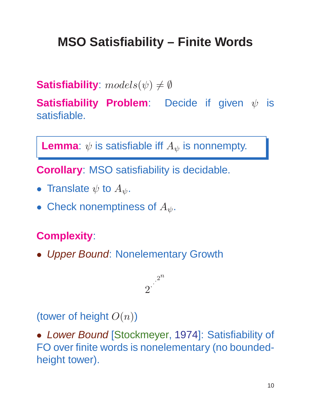## **MSO Satisfiability – Finite Words**

**Satisfiability**:  $models(\psi) \neq \emptyset$ 

**Satisfiability Problem:** Decide if given  $ψ$  is satisfiable.

**Lemma**:  $\psi$  is satisfiable iff  $A_{\psi}$  is nonnempty.

**Corollary**: MSO satisfiability is decidable.

- Translate  $\psi$  to  $A_{\psi}$ .
- Check nonemptiness of  $A_{\psi}$ .

#### **Complexity**:

• Upper Bound: Nonelementary Growth



(tower of height  $O(n)$ )

• Lower Bound [Stockmeyer, 1974]: Satisfiability of FO over finite words is nonelementary (no boundedheight tower).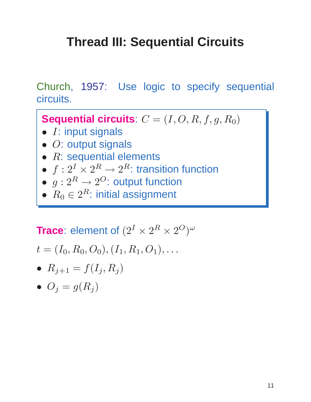### **Thread III: Sequential Circuits**

Church, 1957: Use logic to specify sequential circuits.

**Sequential circuits**:  $C = (I, O, R, f, g, R_0)$ 

- $\bullet$  *I*: input signals
- O: output signals
- $\bullet$   $R$ : sequential elements
- $\bullet\ f:2^I \times 2^R \rightarrow 2^R$ : transition function
- $\bullet\,\,g: 2^R \rightarrow 2^O$ : output function
- $R_0 \in 2^R$ : initial assignment

#### **Trace**: element of  $(2^I \times 2^R \times 2^O)^\omega$

$$
t=(I_0, R_0, O_0), (I_1, R_1, O_1), \ldots
$$

•  $R_{j+1} = f(I_j, R_j)$ 

$$
\bullet \ \ O_j=g(R_j)
$$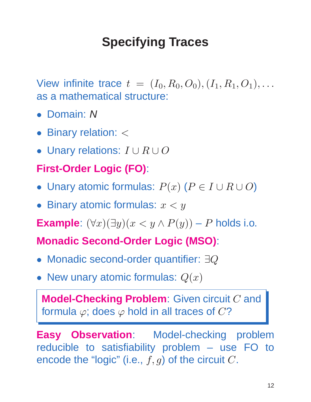## **Specifying Traces**

View infinite trace  $t = (I_0, R_0, O_0), (I_1, R_1, O_1), \ldots$ as a mathematical structure:

- Domain: N
- Binary relation:  $<$
- Unary relations:  $I \cup R \cup O$

#### **First-Order Logic (FO)**:

- Unary atomic formulas:  $P(x)$   $(P \in I \cup R \cup O)$
- Binary atomic formulas:  $x < y$

**Example**:  $(\forall x)(\exists y)(x \leq y \land P(y)) - P$  holds i.o.

#### **Monadic Second-Order Logic (MSO)**:

- Monadic second-order quantifier: ∃Q
- New unary atomic formulas:  $Q(x)$

**Model-Checking Problem**: Given circuit C and formula  $\varphi$ ; does  $\varphi$  hold in all traces of  $C$ ?

**Easy Observation**: Model-checking problem reducible to satisfiability problem – use FO to encode the "logic" (i.e.,  $f, g$ ) of the circuit  $C$ .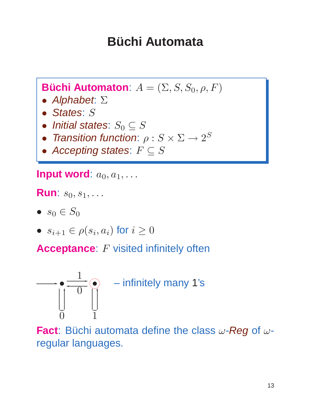### **Büchi Automata**

**Büchi Automaton**:  $A = (\Sigma, S, S_0, \rho, F)$ 

- Alphabet: Σ
- States: S
- Initial states:  $S_0 \subseteq S$
- Transition function:  $\rho: S \times \Sigma \rightarrow 2^S$
- Accepting states:  $F \subseteq S$

**Input word**:  $a_0, a_1, \ldots$ 

**Run**:  $s_0, s_1, \ldots$ 

- $s_0 \in S_0$
- $s_{i+1} \in \rho(s_i, a_i)$  for  $i \geq 0$

**Acceptance:** F visited infinitely often



**Fact**: Büchi automata define the class  $\omega$ -Reg of  $\omega$ regular languages.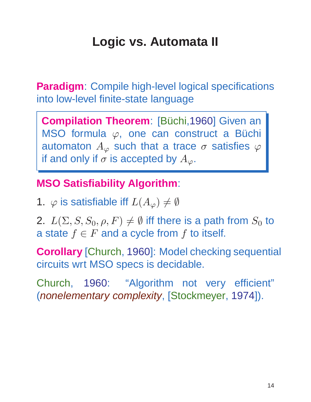## **Logic vs. Automata II**

**Paradigm**: Compile high-level logical specifications into low-level finite-state language

**Compilation Theorem: [Büchi,1960] Given an** MSO formula  $\varphi$ , one can construct a Büchi automaton  $A_{\varphi}$  such that a trace  $\sigma$  satisfies  $\varphi$ if and only if  $\sigma$  is accepted by  $A_{\varphi}$ .

#### **MSO Satisfiability Algorithm**:

1.  $\varphi$  is satisfiable iff  $L(A_{\varphi})\neq\emptyset$ 

2.  $L(\Sigma, S, S_0, \rho, F) \neq \emptyset$  iff there is a path from  $S_0$  to a state  $f \in F$  and a cycle from f to itself.

**Corollary** [Church, 1960]: Model checking sequential circuits wrt MSO specs is decidable.

Church, 1960: "Algorithm not very efficient" (nonelementary complexity, [Stockmeyer, 1974]).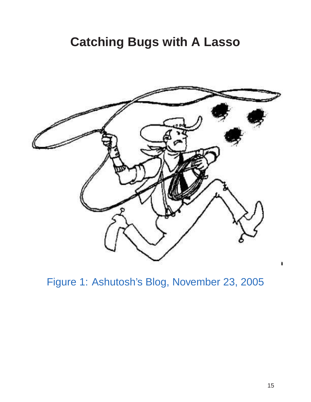#### **Catching Bugs with A Lasso**



Figure 1: Ashutosh's Blog, November 23, 2005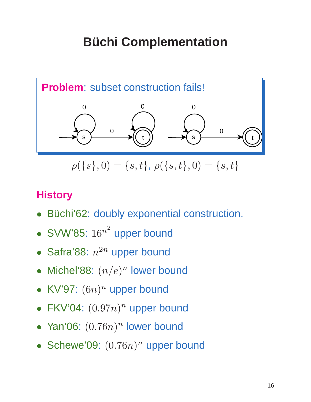## **Büchi Complementation**



 $\rho({s}, 0) = {s, t}, \rho({s, t}, 0) = {s, t}$ 

#### **History**

- Büchi'62: doubly exponential construction.
- SVW'85:  $16^{n^2}$  upper bound
- Safra'88:  $n^{2n}$  upper bound
- Michel'88:  $(n/e)^n$  lower bound
- KV'97:  $(6n)^n$  upper bound
- FKV'04:  $(0.97n)^n$  upper bound
- Yan'06:  $(0.76n)^n$  lower bound
- Schewe'09:  $(0.76n)^n$  upper bound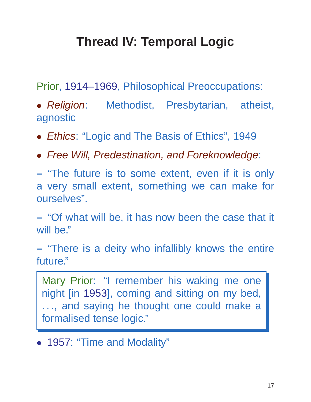## **Thread IV: Temporal Logic**

Prior, 1914–1969, Philosophical Preoccupations:

• Religion: Methodist, Presbytarian, atheist, agnostic

- Ethics: "Logic and The Basis of Ethics", 1949
- Free Will, Predestination, and Foreknowledge:

**–** "The future is to some extent, even if it is only a very small extent, something we can make for ourselves".

**–** "Of what will be, it has now been the case that it will be."

**–** "There is a deity who infallibly knows the entire future."

Mary Prior: "I remember his waking me one night [in 1953], coming and sitting on my bed, ..., and saying he thought one could make a formalised tense logic."

• 1957: "Time and Modality"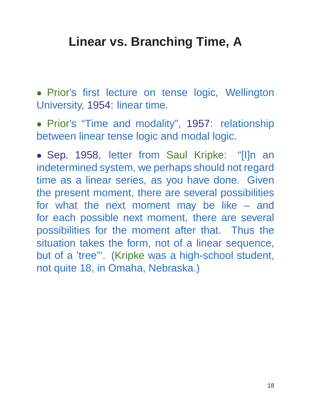#### **Linear vs. Branching Time, A**

• Prior's first lecture on tense logic, Wellington University, 1954: linear time.

• Prior's "Time and modality", 1957: relationship between linear tense logic and modal logic.

• Sep. 1958, letter from Saul Kripke: "[I]n an indetermined system, we perhaps should not regard time as a linear series, as you have done. Given the present moment, there are several possibilities for what the next moment may be like – and for each possible next moment, there are several possibilities for the moment after that. Thus the situation takes the form, not of a linear sequence, but of a 'tree"'. (Kripke was a high-school student, not quite 18, in Omaha, Nebraska.)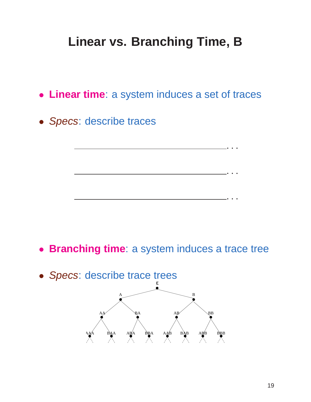### **Linear vs. Branching Time, B**

- **Linear time**: a system induces a set of traces
- Specs: describe traces

- **Branching time**: a system induces a trace tree
- Specs: describe trace trees



...

...

...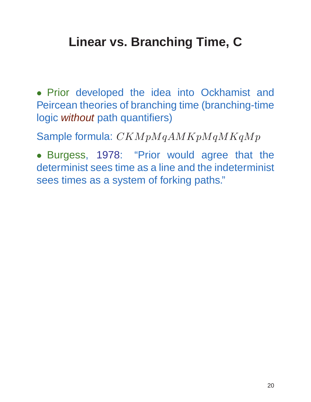### **Linear vs. Branching Time, C**

• Prior developed the idea into Ockhamist and Peircean theories of branching time (branching-time logic without path quantifiers)

Sample formula:  $CKMpMqAMKpMqMKqMp$ 

• Burgess, 1978: "Prior would agree that the determinist sees time as a line and the indeterminist sees times as a system of forking paths."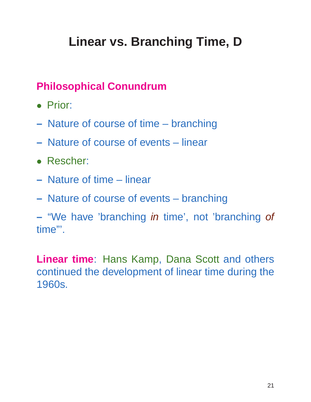## **Linear vs. Branching Time, D**

#### **Philosophical Conundrum**

- Prior:
- **–** Nature of course of time branching
- **–** Nature of course of events linear
- Rescher:
- **–** Nature of time linear
- **–** Nature of course of events branching

**–** "We have 'branching in time', not 'branching of time"'.

**Linear time**: Hans Kamp, Dana Scott and others continued the development of linear time during the 1960s.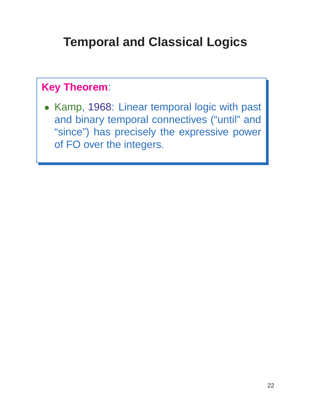### **Temporal and Classical Logics**

#### **Key Theorem**:

• Kamp, 1968: Linear temporal logic with past and binary temporal connectives ("until" and "since") has precisely the expressive power of FO over the integers.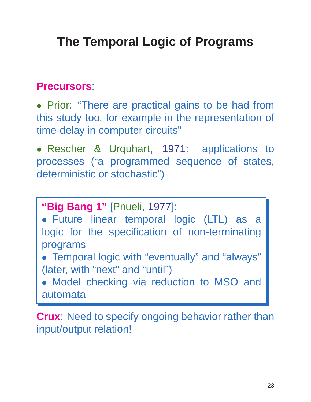## **The Temporal Logic of Programs**

#### **Precursors**:

• Prior: "There are practical gains to be had from this study too, for example in the representation of time-delay in computer circuits"

• Rescher & Urquhart, 1971: applications to processes ("a programmed sequence of states, deterministic or stochastic")

**"Big Bang 1"** [Pnueli, 1977]: • Future linear temporal logic (LTL) as a logic for the specification of non-terminating programs • Temporal logic with "eventually" and "always" (later, with "next" and "until") • Model checking via reduction to MSO and automata

**Crux**: Need to specify ongoing behavior rather than input/output relation!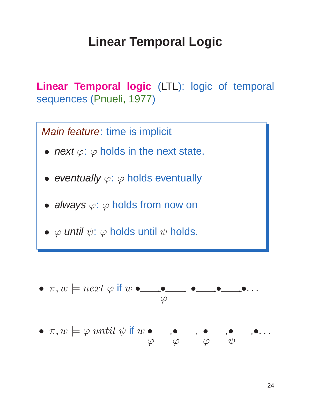#### **Linear Temporal Logic**

**Linear Temporal logic** (LTL): logic of temporal sequences (Pnueli, 1977)



• π,w |= ϕ until ψ if w • ϕ ✲• ϕ ✲ • ϕ ✲• ψ ✲•. ..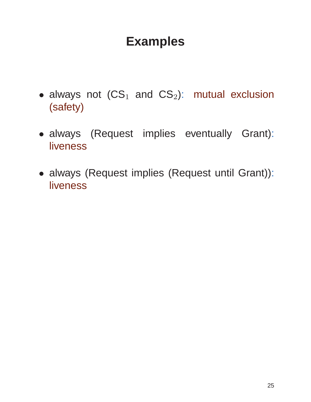#### **Examples**

- always not  $(CS_1$  and  $CS_2$ ): mutual exclusion (safety)
- always (Request implies eventually Grant): **liveness**
- always (Request implies (Request until Grant)): liveness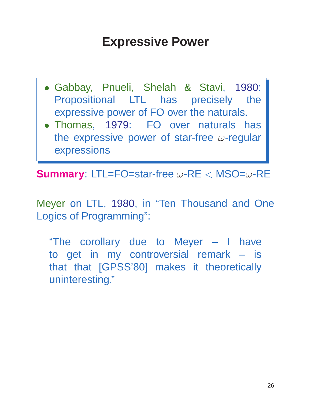### **Expressive Power**

- Gabbay, Pnueli, Shelah & Stavi, 1980: Propositional LTL has precisely the expressive power of FO over the naturals.
- Thomas, 1979: FO over naturals has the expressive power of star-free  $\omega$ -regular expressions

**Summary**: LTL=FO=star-free ω-RE < MSO=ω-RE

Meyer on LTL, 1980, in "Ten Thousand and One Logics of Programming":

"The corollary due to Meyer – I have to get in my controversial remark – is that that [GPSS'80] makes it theoretically uninteresting."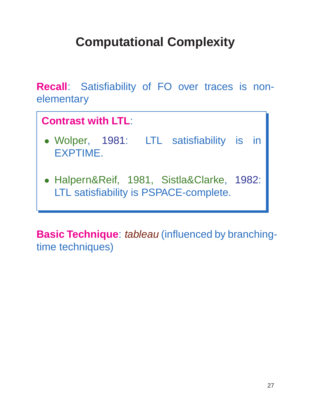# **Computational Complexity**

**Recall**: Satisfiability of FO over traces is nonelementary



**Basic Technique: tableau (influenced by branching**time techniques)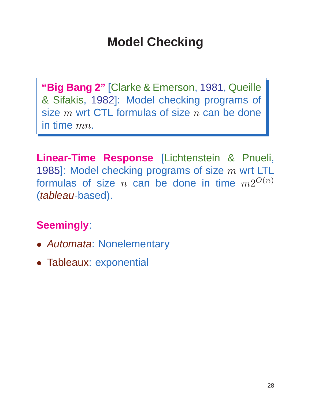### **Model Checking**

**"Big Bang 2"** [Clarke & Emerson, 1981, Queille & Sifakis, 1982]: Model checking programs of size  $m$  wrt CTL formulas of size  $n$  can be done in time  $mn$ .

**Linear-Time Response** [Lichtenstein & Pnueli, 1985]: Model checking programs of size  $m$  wrt LTL formulas of size  $n$  can be done in time  $m2^{O(n)}$ (tableau-based).

#### **Seemingly**:

- Automata: Nonelementary
- Tableaux: exponential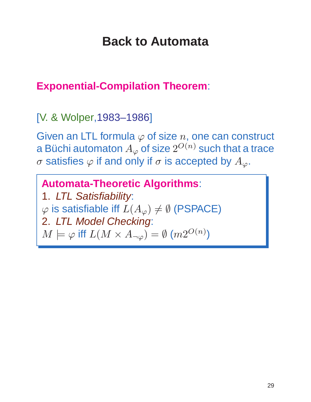#### **Back to Automata**

#### **Exponential-Compilation Theorem**:

[V. & Wolper,1983–1986]

Given an LTL formula  $\varphi$  of size n, one can construct a Büchi automaton  $A_\varphi$  of size  $2^{O(n)}$  such that a trace σ satisfies  $\varphi$  if and only if σ is accepted by  $A_{\varphi}$ .

**Automata-Theoretic Algorithms**: 1. LTL Satisfiability:  $\varphi$  is satisfiable iff  $L(A_{\varphi}) \neq \emptyset$  (PSPACE) 2. LTL Model Checking:  $M \models \varphi$  iff  $L(M \times A_{\neg \varphi}) = \emptyset$   $(m2^{O(n)})$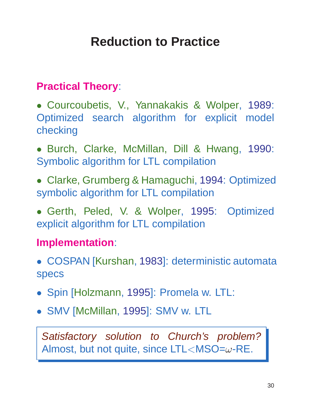### **Reduction to Practice**

#### **Practical Theory**:

• Courcoubetis, V., Yannakakis & Wolper, 1989: Optimized search algorithm for explicit model checking

• Burch, Clarke, McMillan, Dill & Hwang, 1990: Symbolic algorithm for LTL compilation

• Clarke, Grumberg & Hamaguchi, 1994: Optimized symbolic algorithm for LTL compilation

• Gerth, Peled, V. & Wolper, 1995: Optimized explicit algorithm for LTL compilation

#### **Implementation**:

• COSPAN [Kurshan, 1983]: deterministic automata specs

- Spin [Holzmann, 1995]: Promela w. LTL:
- SMV [McMillan, 1995]: SMV w. LTL

Satisfactory solution to Church's problem? Almost, but not quite, since  $LTL < MSO = \omega$ -RE.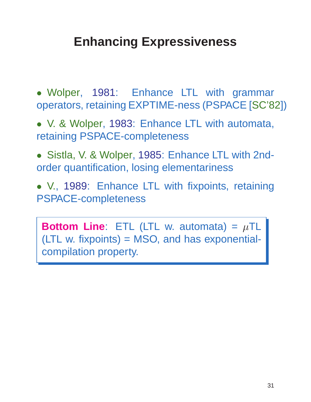### **Enhancing Expressiveness**

• Wolper, 1981: Enhance LTL with grammar operators, retaining EXPTIME-ness (PSPACE [SC'82])

• V. & Wolper, 1983: Enhance LTL with automata, retaining PSPACE-completeness

• Sistla, V. & Wolper, 1985: Enhance LTL with 2ndorder quantification, losing elementariness

• V., 1989: Enhance LTL with fixpoints, retaining PSPACE-completeness

**Bottom Line:** ETL (LTL w. automata) =  $\mu$ TL (LTL w. fixpoints) = MSO, and has exponentialcompilation property.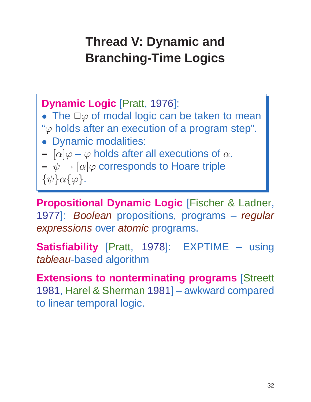## **Thread V: Dynamic and Branching-Time Logics**

**Dynamic Logic** [Pratt, 1976]: • The  $\Box \varphi$  of modal logic can be taken to mean " $\varphi$  holds after an execution of a program step". • Dynamic modalities:  $- [\alpha] \varphi - \varphi$  holds after all executions of  $\alpha$ .  $\psi \rightarrow [\alpha]\varphi$  corresponds to Hoare triple  $\{\psi\}\alpha\{\varphi\}.$ 

**Propositional Dynamic Logic** [Fischer & Ladner, 1977]: Boolean propositions, programs – regular expressions over atomic programs.

**Satisfiability** [Pratt, 1978]: EXPTIME – using tableau-based algorithm

**Extensions to nonterminating programs** [Streett 1981, Harel & Sherman 1981] – awkward compared to linear temporal logic.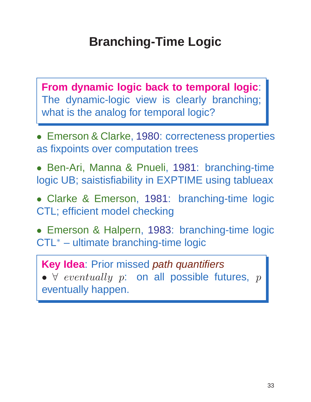## **Branching-Time Logic**

**From dynamic logic back to temporal logic**: The dynamic-logic view is clearly branching; what is the analog for temporal logic?

- Emerson & Clarke, 1980: correcteness properties as fixpoints over computation trees
- Ben-Ari, Manna & Pnueli, 1981: branching-time logic UB; saistisfiability in EXPTIME using tablueax
- Clarke & Emerson, 1981: branching-time logic CTL; efficient model checking
- Emerson & Halpern, 1983: branching-time logic CTL<sup>∗</sup> – ultimate branching-time logic
	- **Key Idea**: Prior missed path quantifiers •  $\forall$  eventually p: on all possible futures, p

eventually happen.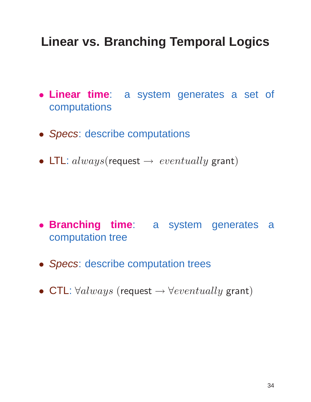### **Linear vs. Branching Temporal Logics**

- **Linear time**: a system generates a set of computations
- Specs: describe computations
- LTL:  $always$ (request  $\rightarrow eventually$  grant)

- **Branching time**: a system generates a computation tree
- Specs: describe computation trees
- CTL:  $\forall always$  (request  $\rightarrow \forall eventually$  grant)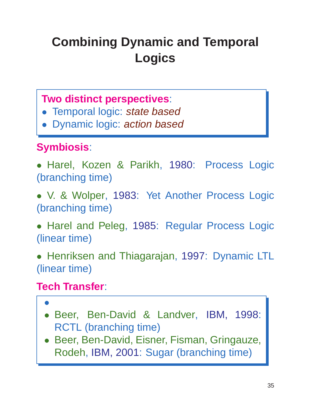# **Combining Dynamic and Temporal Logics**

#### **Two distinct perspectives**:

- Temporal logic: state based
- Dynamic logic: action based

#### **Symbiosis**:

• Harel, Kozen & Parikh, 1980: Process Logic (branching time)

• V. & Wolper, 1983: Yet Another Process Logic (branching time)

• Harel and Peleg, 1985: Regular Process Logic (linear time)

• Henriksen and Thiagarajan, 1997: Dynamic LTL (linear time)

#### **Tech Transfer**:

- •
- Beer, Ben-David & Landver, IBM, 1998: RCTL (branching time)
- Beer, Ben-David, Eisner, Fisman, Gringauze, Rodeh, IBM, 2001: Sugar (branching time)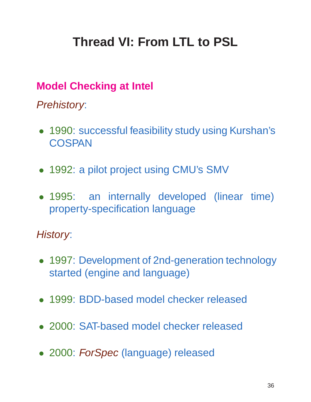## **Thread VI: From LTL to PSL**

#### **Model Checking at Intel**

Prehistory:

- 1990: successful feasibility study using Kurshan's **COSPAN**
- 1992: a pilot project using CMU's SMV
- 1995: an internally developed (linear time) property-specification language

#### History:

- 1997: Development of 2nd-generation technology started (engine and language)
- 1999: BDD-based model checker released
- 2000: SAT-based model checker released
- 2000: ForSpec (language) released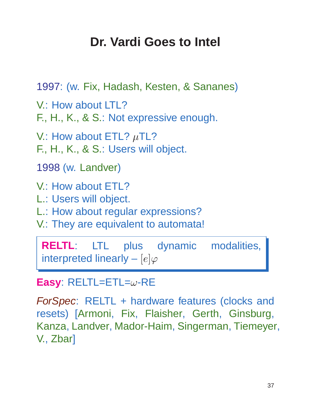## **Dr. Vardi Goes to Intel**

```
1997: (w. Fix, Hadash, Kesten, & Sananes)
V.: How about LTL?
F., H., K., & S.: Not expressive enough.
V.: How about ETL? \muTL?
F., H., K., & S.: Users will object.
1998 (w. Landver)
V.: How about ETL?
L.: Users will object.
L.: How about regular expressions?
V.: They are equivalent to automata!
```
**RELTL**: LTL plus dynamic modalities, interpreted linearly –  $[e]\varphi$ 

#### **Easy**: RELTL=ETL=ω-RE

ForSpec: RELTL + hardware features (clocks and resets) [Armoni, Fix, Flaisher, Gerth, Ginsburg, Kanza, Landver, Mador-Haim, Singerman, Tiemeyer, V., Zbar]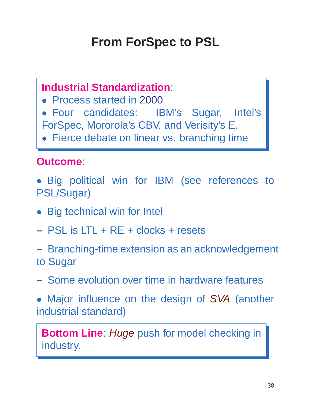## **From ForSpec to PSL**

#### **Industrial Standardization**:

- Process started in 2000
- Four candidates: IBM's Sugar, Intel's ForSpec, Mororola's CBV, and Verisity's E.
- Fierce debate on linear vs. branching time

#### **Outcome**:

- Big political win for IBM (see references to PSL/Sugar)
- Big technical win for Intel
- **–** PSL is LTL + RE + clocks + resets
- **–** Branching-time extension as an acknowledgement to Sugar
- **–** Some evolution over time in hardware features
- Major influence on the design of SVA (another industrial standard)

**Bottom Line:** Huge push for model checking in industry.